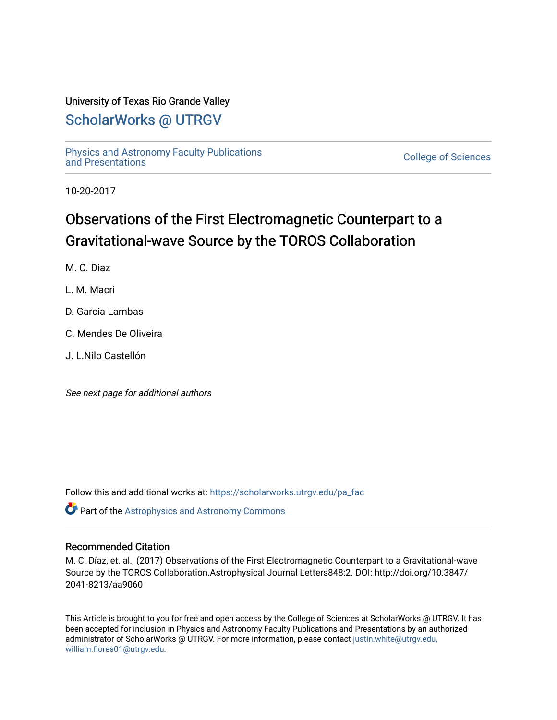## University of Texas Rio Grande Valley

## [ScholarWorks @ UTRGV](https://scholarworks.utrgv.edu/)

[Physics and Astronomy Faculty Publications](https://scholarworks.utrgv.edu/pa_fac) [and Presentations](https://scholarworks.utrgv.edu/pa_fac) [College of Sciences](https://scholarworks.utrgv.edu/cos) 

10-20-2017

# Observations of the First Electromagnetic Counterpart to a Gravitational-wave Source by the TOROS Collaboration

M. C. Diaz

L. M. Macri

- D. Garcia Lambas
- C. Mendes De Oliveira
- J. L.Nilo Castellón

See next page for additional authors

Follow this and additional works at: [https://scholarworks.utrgv.edu/pa\\_fac](https://scholarworks.utrgv.edu/pa_fac?utm_source=scholarworks.utrgv.edu%2Fpa_fac%2F110&utm_medium=PDF&utm_campaign=PDFCoverPages) 

Part of the [Astrophysics and Astronomy Commons](http://network.bepress.com/hgg/discipline/123?utm_source=scholarworks.utrgv.edu%2Fpa_fac%2F110&utm_medium=PDF&utm_campaign=PDFCoverPages) 

## Recommended Citation

M. C. Díaz, et. al., (2017) Observations of the First Electromagnetic Counterpart to a Gravitational-wave Source by the TOROS Collaboration.Astrophysical Journal Letters848:2. DOI: http://doi.org/10.3847/ 2041-8213/aa9060

This Article is brought to you for free and open access by the College of Sciences at ScholarWorks @ UTRGV. It has been accepted for inclusion in Physics and Astronomy Faculty Publications and Presentations by an authorized administrator of ScholarWorks @ UTRGV. For more information, please contact [justin.white@utrgv.edu,](mailto:justin.white@utrgv.edu,%20william.flores01@utrgv.edu)  [william.flores01@utrgv.edu](mailto:justin.white@utrgv.edu,%20william.flores01@utrgv.edu).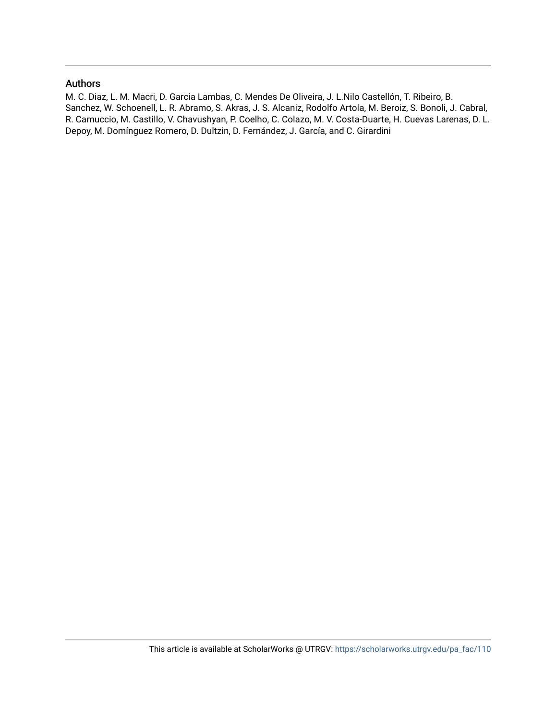### Authors

M. C. Diaz, L. M. Macri, D. Garcia Lambas, C. Mendes De Oliveira, J. L.Nilo Castellón, T. Ribeiro, B. Sanchez, W. Schoenell, L. R. Abramo, S. Akras, J. S. Alcaniz, Rodolfo Artola, M. Beroiz, S. Bonoli, J. Cabral, R. Camuccio, M. Castillo, V. Chavushyan, P. Coelho, C. Colazo, M. V. Costa-Duarte, H. Cuevas Larenas, D. L. Depoy, M. Domínguez Romero, D. Dultzin, D. Fernández, J. García, and C. Girardini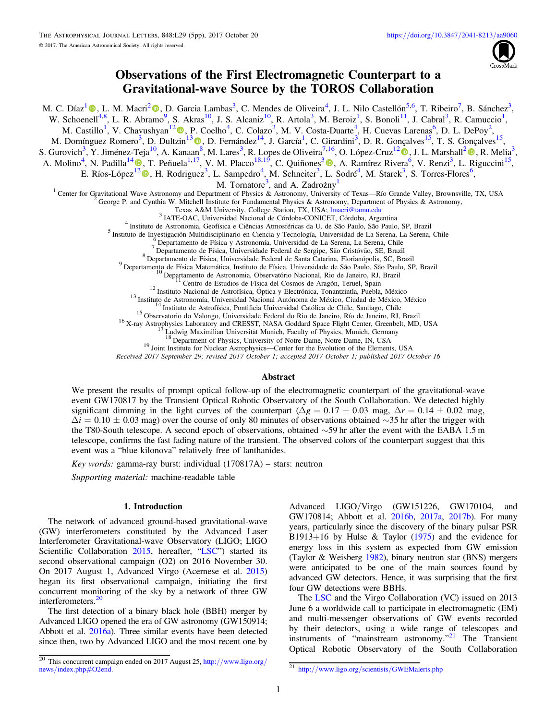

## Observations of the First Electromagnetic Counterpart to a Gravitational-wave Source by the TOROS Collaboration

M. C. Díaz<sup>[1](https://orcid.org/0000-0002-7555-8856)</sup> (D., L. M. Macri<sup>[2](https://orcid.org/0000-0002-1775-4859)</sup> (D., D. Garcia Lambas<sup>3</sup>, C. Mendes de Oliveira<sup>4</sup>, J. L. Nilo Castellón<sup>5,6</sup>, T. Ribeiro<sup>7</sup>, B. Sánchez<sup>3</sup>, W. Schoenell<sup>4,8</sup>, L. R. Abramo<sup>9</sup>, S. Akras<sup>10</sup>, J. S. Alcaniz<sup>10</sup>, R. Artola<sup>3</sup>, M. Beroiz<sup>1</sup>, S. Bonoli<sup>11</sup>, J. Cabral<sup>3</sup>, R. Camuccio<sup>1</sup>, M. Castillo<sup>1</sup>, V. Chavushyan<sup>1[2](https://orcid.org/0000-0002-2558)</sup><sup>®</sup>, P. Coelho<sup>4</sup>, C. Colazo<sup>3</sup>, M. V. Costa-Duarte<sup>4</sup>, H. Cuevas Larenas<sup>6</sup>, D. L. DePoy<sup>2</sup>, M. Domínguez Romero<sup>[3](https://orcid.org/0000-0001-5756-8842)</sup>, D. Dultzin<sup>13</sup> (D. D. Fernández<sup>14</sup>, J. García<sup>1</sup>, C. Girardini<sup>3</sup>, D. R. Gonçalves<sup>15</sup>, T. S. Gonçalves<sup>15</sup>, S. Gurovich<sup>3</sup>, Y. Jiménez-Teja<sup>10</sup>, A. Kanaan<sup>[8](https://orcid.org/0000-0001-5756-8842)</sup>, M. Lares<sup>3</sup>, R. Lopes de Oliveira<sup>7,16</sup>, O. López-Cruz<sup>1[2](https://orcid.org/0000-0003-0710-9474)</sup>., J. L. Marshall<sup>2</sup>., R. Melia<sup>3</sup>, A. Molino<sup>[4](https://orcid.org/0000-0001-9850-9419)</sup>, N. Padilla<sup>14</sup> (**D**, T. Peñuela<sup>1,17</sup>, V. M. Placco<sup>18,19</sup>, C. Quiñones<sup>[3](https://orcid.org/0000-0003-0276-9879)</sup> (**D**, A. Ramírez Rivera<sup>[6](https://orcid.org/0000-0002-1381-7437)</sup>, V. Renzi<sup>3</sup>, L. Riguccini<sup>15</sup>, E. Ríos-López<sup>[1](https://orcid.org/0000-0001-9850-9419)[2](https://orcid.org/0000-0002-4436-221X)</sup> (D)[,](https://orcid.org/0000-0002-4436-221X) H. Rodriguez<sup>3</sup>, L. Sampedro<sup>4</sup>, M. Schneiter<sup>3</sup>, L. Sodré<sup>4</sup>, M. Starck<sup>3</sup>, S. Torres-Flores<sup>6</sup>, M. Tornatore<sup>3</sup>, and A. Zadrożny<sup>1</sup> <sup>1</sup> Center for Gravitational Wave Astronomy and Department of Physics & Astronomy, University of Texas—Río Grande Valley, Brownsville, TX, USA<br><sup>2</sup> George P. and Cynthia W. Mitchell Institute for Fundamental Physics & Astr <sup>3</sup> IATE-OAC, Universidad Nacional de Córdoba-CONICET, Córdoba, Argentina<br>
<sup>4</sup> Instituto de Astronomia, Geofísica e Ciências Atmosféricas da U. de São Paulo, São Paulo, SP, Brazil<br>
<sup>5</sup> Instituto de Insterigación Multidisc <sup>19</sup> Joint Institute for Nuclear Astrophysics—Center for the Evolution of the Elements, USA

Received 2017 September 29; revised 2017 October 1; accepted 2017 October 1; published 2017 October 16

#### Abstract

We present the results of prompt optical follow-up of the electromagnetic counterpart of the gravitational-wave event GW170817 by the Transient Optical Robotic Observatory of the South Collaboration. We detected highly significant dimming in the light curves of the counterpart ( $\Delta g = 0.17 \pm 0.03$  mag,  $\Delta r = 0.14 \pm 0.02$  mag,  $\Delta i = 0.10 \pm 0.03$  mag) over the course of only 80 minutes of observations obtained ∼35 hr after the trigger with the T80-South telescope. A second epoch of observations, obtained ∼59 hr after the event with the EABA 1.5 m telescope, confirms the fast fading nature of the transient. The observed colors of the counterpart suggest that this event was a "blue kilonova" relatively free of lanthanides.

Key words: gamma-ray burst: individual (170817A) – stars: neutron

Supporting material: machine-readable table

#### 1. Introduction

The network of advanced ground-based gravitational-wave (GW) interferometers constituted by the Advanced Laser Interferometer Gravitational-wave Observatory (LIGO; LIGO Scientific Collaboration [2015,](#page-6-0) hereafter, "[LSC](#page-6-0)") started its second observational campaign (O2) on 2016 November 30. On 2017 August 1, Advanced Virgo (Acernese et al. [2015](#page-6-0)) began its first observational campaign, initiating the first concurrent monitoring of the sky by a network of three GW interferometers. $2<sup>2</sup>$ 

The first detection of a binary black hole (BBH) merger by Advanced LIGO opened the era of GW astronomy (GW150914; Abbott et al. [2016a](#page-6-0)). Three similar events have been detected since then, two by Advanced LIGO and the most recent one by

Advanced LIGO/Virgo (GW151226, GW170104, and GW170814; Abbott et al. [2016b](#page-6-0), [2017a,](#page-6-0) [2017b](#page-6-0)). For many years, particularly since the discovery of the binary pulsar PSR B1913+16 by Hulse & Taylor  $(1975)$  $(1975)$  $(1975)$  and the evidence for energy loss in this system as expected from GW emission (Taylor & Weisberg [1982](#page-6-0)), binary neutron star (BNS) mergers were anticipated to be one of the main sources found by advanced GW detectors. Hence, it was surprising that the first four GW detections were BBHs.

The [LSC](#page-6-0) and the Virgo Collaboration (VC) issued on 2013 June 6 a worldwide call to participate in electromagnetic (EM) and multi-messenger observations of GW events recorded by their detectors, using a wide range of telescopes and instruments of "mainstream astronomy."<sup>21</sup> The Transient Optical Robotic Observatory of the South Collaboration

 $\frac{20}{20}$  This concurrent campaign ended on 2017 August 25, http://[www.ligo.org](http://www.ligo.org/news/index.php#O2end)/news/index.php#O2end.

<sup>21</sup> http://www.ligo.org/scientists/[GWEMalerts.php](http://www.ligo.org/scientists/GWEMalerts.php)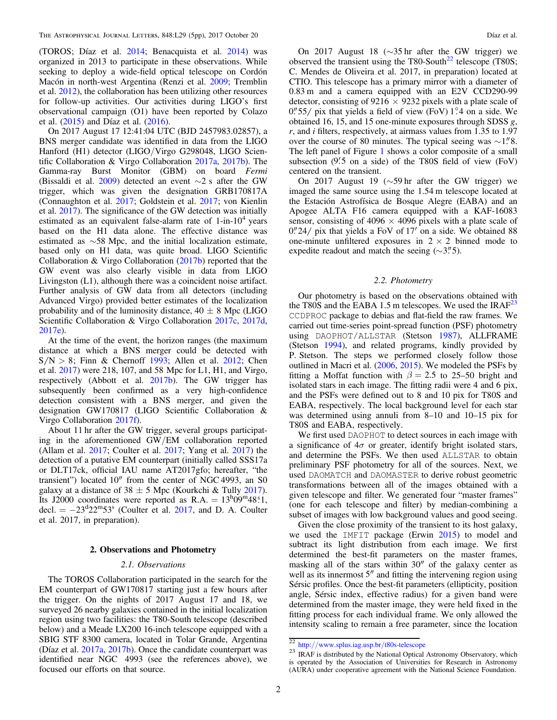<span id="page-3-0"></span>(TOROS; Díaz et al. [2014](#page-6-0); Benacquista et al. [2014](#page-6-0)) was organized in 2013 to participate in these observations. While seeking to deploy a wide-field optical telescope on Cordón Macón in north-west Argentina (Renzi et al. [2009;](#page-6-0) Tremblin et al. [2012](#page-6-0)), the collaboration has been utilizing other resources for follow-up activities. Our activities during LIGO's first observational campaign (O1) have been reported by Colazo et al. ([2015](#page-6-0)) and Díaz et al. ([2016](#page-6-0)).

On 2017 August 17 12:41:04 UTC (BJD 2457983.02857), a BNS merger candidate was identified in data from the LIGO Hanford (H1) detector (LIGO/Virgo G298048, LIGO Scientific Collaboration & Virgo Collaboration [2017a,](#page-6-0) [2017b](#page-6-0)). The Gamma-ray Burst Monitor (GBM) on board Fermi (Bissaldi et al. [2009](#page-6-0)) detected an event ∼2 s after the GW trigger, which was given the designation GRB170817A (Connaughton et al. [2017](#page-6-0); Goldstein et al. [2017](#page-6-0); von Kienlin et al. [2017](#page-6-0)). The significance of the GW detection was initially estimated as an equivalent false-alarm rate of  $1$ -in- $10<sup>4</sup>$  years based on the H1 data alone. The effective distance was estimated as ∼58 Mpc, and the initial localization estimate, based only on H1 data, was quite broad. LIGO Scientific Collaboration & Virgo Collaboration ([2017b](#page-6-0)) reported that the GW event was also clearly visible in data from LIGO Livingston (L1), although there was a coincident noise artifact. Further analysis of GW data from all detectors (including Advanced Virgo) provided better estimates of the localization probability and of the luminosity distance,  $40 \pm 8$  Mpc (LIGO Scientific Collaboration & Virgo Collaboration [2017c,](#page-6-0) [2017d,](#page-6-0) [2017e](#page-6-0)).

At the time of the event, the horizon ranges (the maximum distance at which a BNS merger could be detected with  $S/N > 8$ ; Finn & Chernoff [1993](#page-6-0); Allen et al. [2012](#page-6-0); Chen et al. [2017](#page-6-0)) were 218, 107, and 58 Mpc for L1, H1, and Virgo, respectively (Abbott et al. [2017b](#page-6-0)). The GW trigger has subsequently been confirmed as a very high-confidence detection consistent with a BNS merger, and given the designation GW170817 (LIGO Scientific Collaboration & Virgo Collaboration [2017f](#page-6-0)).

About 11 hr after the GW trigger, several groups participating in the aforementioned GW/EM collaboration reported (Allam et al. [2017;](#page-6-0) Coulter et al. [2017;](#page-6-0) Yang et al. [2017](#page-6-0)) the detection of a putative EM counterpart (initially called SSS17a or DLT17ck, official IAU name AT2017gfo; hereafter, "the transient") located  $10''$  from the center of NGC 4993, an S0 galaxy at a distance of  $38 \pm 5$  Mpc (Kourkchi & Tully [2017](#page-6-0)). Its J2000 coordinates were reported as  $R.A. = 13^{h}09^{m}48.1$ , decl.  $= -23^{\circ}22^{\circ}53^{\circ}$  (Coulter et al. [2017,](#page-6-0) and D. A. Coulter et al. 2017, in preparation).

#### 2. Observations and Photometry

#### 2.1. Observations

The TOROS Collaboration participated in the search for the EM counterpart of GW170817 starting just a few hours after the trigger. On the nights of 2017 August 17 and 18, we surveyed 26 nearby galaxies contained in the initial localization region using two facilities: the T80-South telescope (described below) and a Meade LX200 16-inch telescope equipped with a SBIG STF 8300 camera, located in Tolar Grande, Argentina (Díaz et al. [2017a,](#page-6-0) [2017b](#page-6-0)). Once the candidate counterpart was identified near NGC 4993 (see the references above), we focused our efforts on that source.

On 2017 August 18 (∼35 hr after the GW trigger) we observed the transient using the T80-South $^{22}$  telescope (T80S; C. Mendes de Oliveira et al. 2017, in preparation) located at CTIO. This telescope has a primary mirror with a diameter of 0.83 m and a camera equipped with an E2V CCD290-99 detector, consisting of  $9216 \times 9232$  pixels with a plate scale of  $0.^{\prime\prime}$  55/ pix that yields a field of view (FoV) 1.4 on a side. We obtained 16, 15, and 15 one-minute exposures through SDSS  $g$ , r, and i filters, respectively, at airmass values from 1.35 to 1.97 over the course of 80 minutes. The typical seeing was  $\sim$ 1."8. The left panel of Figure [1](#page-4-0) shows a color composite of a small subsection  $(9.5 \text{ on a side})$  of the T80S field of view (FoV) centered on the transient.

On 2017 August 19 (∼59 hr after the GW trigger) we imaged the same source using the 1.54 m telescope located at the Estación Astrofísica de Bosque Alegre (EABA) and an Apogee ALTA F16 camera equipped with a KAF-16083 sensor, consisting of  $4096 \times 4096$  pixels with a plate scale of  $0\rlap.{''}24$  pix that yields a FoV of 17 $\prime$  on a side. We obtained 88 one-minute unfiltered exposures in  $2 \times 2$  binned mode to expedite readout and match the seeing  $(\sim 3\rlap{.}^{\prime\prime}5)$ .

#### 2.2. Photometry

Our photometry is based on the observations obtained with the T80S and the EABA 1.5 m telescopes. We used the  $IRAF<sup>23</sup>$ CCDPROC package to debias and flat-field the raw frames. We carried out time-series point-spread function (PSF) photometry using DAOPHOT/ALLSTAR (Stetson [1987](#page-6-0)), ALLFRAME (Stetson [1994](#page-6-0)), and related programs, kindly provided by P. Stetson. The steps we performed closely follow those outlined in Macri et al. ([2006,](#page-6-0) [2015](#page-6-0)). We modeled the PSFs by fitting a Moffat function with  $\beta = 2.5$  to 25–50 bright and isolated stars in each image. The fitting radii were 4 and 6 pix, and the PSFs were defined out to 8 and 10 pix for T80S and EABA, respectively. The local background level for each star was determined using annuli from 8–10 and 10–15 pix for T80S and EABA, respectively.

We first used DAOPHOT to detect sources in each image with a significance of  $4\sigma$  or greater, identify bright isolated stars, and determine the PSFs. We then used ALLSTAR to obtain preliminary PSF photometry for all of the sources. Next, we used DAOMATCH and DAOMASTER to derive robust geometric transformations between all of the images obtained with a given telescope and filter. We generated four "master frames" (one for each telescope and filter) by median-combining a subset of images with low background values and good seeing.

Given the close proximity of the transient to its host galaxy, we used the IMFIT package (Erwin [2015](#page-6-0)) to model and subtract its light distribution from each image. We first determined the best-fit parameters on the master frames, masking all of the stars within  $30''$  of the galaxy center as well as its innermost  $5<sup>n</sup>$  and fitting the intervening region using Sérsic profiles. Once the best-fit parameters (ellipticity, position angle, Sérsic index, effective radius) for a given band were determined from the master image, they were held fixed in the fitting process for each individual frame. We only allowed the intensity scaling to remain a free parameter, since the location

 $\frac{22 \text{ http://www.splus.iag.usp.br/t80s-telescope}}{23 \text{ IRAF}}$  $\frac{22 \text{ http://www.splus.iag.usp.br/t80s-telescope}}{23 \text{ IRAF}}$  $\frac{22 \text{ http://www.splus.iag.usp.br/t80s-telescope}}{23 \text{ IRAF}}$  is distributed by the National Optical Astronomy Observatory, which is operated by the Association of Universities for Research in Astronomy (AURA) under cooperative agreement with the National Science Foundation.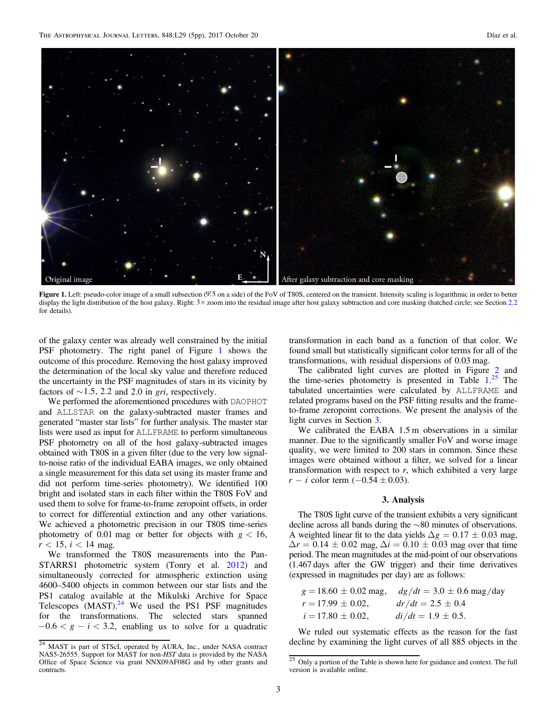<span id="page-4-0"></span>

Figure 1. Left: pseudo-color image of a small subsection (9.5 on a side) of the FoV of T80S, centered on the transient. Intensity scaling is logarithmic in order to better display the light distribution of the host galaxy. Right:  $3 \times$  zoom into the residual image after host galaxy subtraction and core masking (hatched circle; see Section [2.2](#page-3-0) for details).

of the galaxy center was already well constrained by the initial PSF photometry. The right panel of Figure 1 shows the outcome of this procedure. Removing the host galaxy improved the determination of the local sky value and therefore reduced the uncertainty in the PSF magnitudes of stars in its vicinity by factors of  $\sim$ 1.5, 2.2 and 2.0 in gri, respectively.

We performed the aforementioned procedures with DAOPHOT and ALLSTAR on the galaxy-subtracted master frames and generated "master star lists" for further analysis. The master star lists were used as input for ALLFRAME to perform simultaneous PSF photometry on all of the host galaxy-subtracted images obtained with T80S in a given filter (due to the very low signalto-noise ratio of the individual EABA images, we only obtained a single measurement for this data set using its master frame and did not perform time-series photometry). We identified 100 bright and isolated stars in each filter within the T80S FoV and used them to solve for frame-to-frame zeropoint offsets, in order to correct for differential extinction and any other variations. We achieved a photometric precision in our T80S time-series photometry of 0.01 mag or better for objects with  $g < 16$ ,  $r < 15$ ,  $i < 14$  mag.

We transformed the T80S measurements into the Pan-STARRS1 photometric system (Tonry et al. [2012](#page-6-0)) and simultaneously corrected for atmospheric extinction using 4600–5400 objects in common between our star lists and the PS1 catalog available at the Mikulski Archive for Space Telescopes (MAST).<sup>24</sup> We used the PS1 PSF magnitudes for the transformations. The selected stars spanned  $-0.6 < g - i < 3.2$ , enabling us to solve for a quadratic transformation in each band as a function of that color. We found small but statistically significant color terms for all of the transformations, with residual dispersions of 0.03 mag.

The calibrated light curves are plotted in Figure [2](#page-5-0) and the time-series photometry is presented in Table [1.](#page-5-0)<sup>25</sup> The tabulated uncertainties were calculated by ALLFRAME and related programs based on the PSF fitting results and the frameto-frame zeropoint corrections. We present the analysis of the light curves in Section 3.

We calibrated the EABA 1.5 m observations in a similar manner. Due to the significantly smaller FoV and worse image quality, we were limited to 200 stars in common. Since these images were obtained without a filter, we solved for a linear transformation with respect to  $r$ , which exhibited a very large *r* - *i* color term  $(-0.54 \pm 0.03)$ .

#### 3. Analysis

The T80S light curve of the transient exhibits a very significant decline across all bands during the ∼80 minutes of observations. A weighted linear fit to the data yields  $\Delta g = 0.17 \pm 0.03$  mag,  $\Delta r = 0.14 \pm 0.02$  mag,  $\Delta i = 0.10 \pm 0.03$  mag over that time period. The mean magnitudes at the mid-point of our observations (1.467 days after the GW trigger) and their time derivatives (expressed in magnitudes per day) are as follows:

|                        | $g = 18.60 \pm 0.02$ mag, $dg/dt = 3.0 \pm 0.6$ mag/day |
|------------------------|---------------------------------------------------------|
| $r = 17.99 \pm 0.02$ , | $dr/dt = 2.5 \pm 0.4$                                   |
| $i = 17.80 \pm 0.02$ , | $di/dt = 1.9 \pm 0.5$ .                                 |

We ruled out systematic effects as the reason for the fast decline by examining the light curves of all 885 objects in the

<sup>&</sup>lt;sup>24</sup> MAST is part of STScI, operated by AURA, Inc., under NASA contract NAS5-26555. Support for MAST for non-HST data is provided by the NASA Office of Space Science via grant NNX09AF08G and by other grants and contracts.

 $\frac{25}{25}$  Only a portion of the Table is shown here for guidance and context. The full version is available online.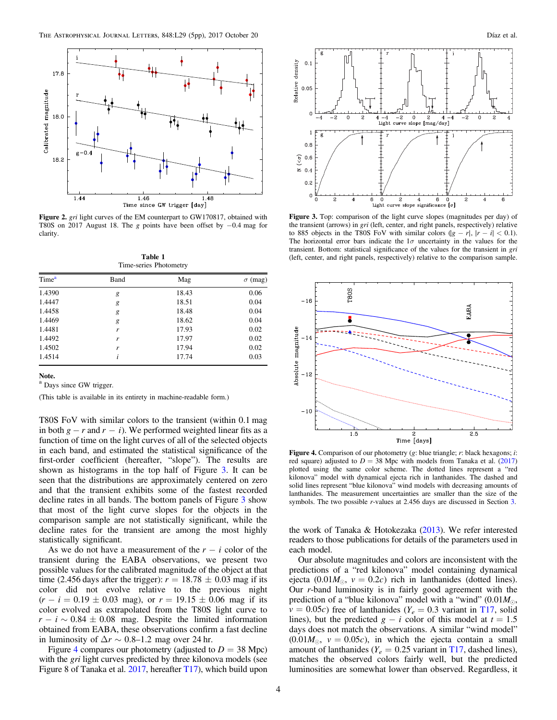<span id="page-5-0"></span>

Figure 2. gri light curves of the EM counterpart to GW170817, obtained with T80S on 2017 August 18. The g points have been offset by −0.4 mag for clarity.

Table 1 Time-series Photometry

| Time <sup>a</sup> | Band | Mag   | $\sigma$ (mag) |
|-------------------|------|-------|----------------|
| 1.4390            | g    | 18.43 | 0.06           |
| 1.4447            | g    | 18.51 | 0.04           |
| 1.4458            | g    | 18.48 | 0.04           |
| 1.4469            | g    | 18.62 | 0.04           |
| 1.4481            | r    | 17.93 | 0.02           |
| 1.4492            | r    | 17.97 | 0.02           |
| 1.4502            | r    | 17.94 | 0.02           |
| 1.4514            | ĺ    | 17.74 | 0.03           |

Note.

<sup>a</sup> Days since GW trigger.

(This table is available in its entirety in machine-readable form.)

T80S FoV with similar colors to the transient (within 0.1 mag in both  $g - r$  and  $r - i$ ). We performed weighted linear fits as a function of time on the light curves of all of the selected objects in each band, and estimated the statistical significance of the first-order coefficient (hereafter, "slope"). The results are shown as histograms in the top half of Figure 3. It can be seen that the distributions are approximately centered on zero and that the transient exhibits some of the fastest recorded decline rates in all bands. The bottom panels of Figure 3 show that most of the light curve slopes for the objects in the comparison sample are not statistically significant, while the decline rates for the transient are among the most highly statistically significant.

As we do not have a measurement of the  $r - i$  color of the transient during the EABA observations, we present two possible values for the calibrated magnitude of the object at that time (2.456 days after the trigger):  $r = 18.78 \pm 0.03$  mag if its color did not evolve relative to the previous night  $(r - i = 0.19 \pm 0.03 \text{ mag})$ , or  $r = 19.15 \pm 0.06 \text{ mag}$  if its color evolved as extrapolated from the T80S light curve to  $r - i \sim 0.84 \pm 0.08$  mag. Despite the limited information obtained from EABA, these observations confirm a fast decline in luminosity of  $\Delta r \sim 0.8$ –1.2 mag over 24 hr.

Figure 4 compares our photometry (adjusted to  $D = 38$  Mpc) with the *gri* light curves predicted by three kilonova models (see Figure 8 of Tanaka et al. [2017](#page-6-0), hereafter [T17](#page-6-0)), which build upon



Figure 3. Top: comparison of the light curve slopes (magnitudes per day) of the transient (arrows) in gri (left, center, and right panels, respectively) relative to 885 objects in the T80S FoV with similar colors  $(|g - r|, |r - i| < 0.1)$ . The horizontal error bars indicate the  $1\sigma$  uncertainty in the values for the transient. Bottom: statistical significance of the values for the transient in gri (left, center, and right panels, respectively) relative to the comparison sample.



Figure 4. Comparison of our photometry (g: blue triangle; r: black hexagons; i: red square) adjusted to  $D = 38$  Mpc with models from Tanaka et al. ([2017](#page-6-0)) plotted using the same color scheme. The dotted lines represent a "red kilonova" model with dynamical ejecta rich in lanthanides. The dashed and solid lines represent "blue kilonova" wind models with decreasing amounts of lanthanides. The measurement uncertainties are smaller than the size of the symbols. The two possible *r*-values at 2.456 days are discussed in Section [3.](#page-4-0)

the work of Tanaka & Hotokezaka  $(2013)$  $(2013)$  $(2013)$ . We refer interested readers to those publications for details of the parameters used in each model.

Our absolute magnitudes and colors are inconsistent with the predictions of a "red kilonova" model containing dynamical ejecta (0.01 $M_{\odot}$ ,  $v = 0.2c$ ) rich in lanthanides (dotted lines). Our r-band luminosity is in fairly good agreement with the prediction of a "blue kilonova" model with a "wind"  $(0.01M_{\odot},$  $v = 0.05c$ ) free of lanthanides ( $Y_e = 0.3$  variant in [T17,](#page-6-0) solid lines), but the predicted  $g - i$  color of this model at  $t = 1.5$ days does not match the observations. A similar "wind model"  $(0.01M_{\odot}, v = 0.05c)$ , in which the ejecta contain a small amount of lanthanides ( $Y_e = 0.25$  variant in [T17,](#page-6-0) dashed lines), matches the observed colors fairly well, but the predicted luminosities are somewhat lower than observed. Regardless, it